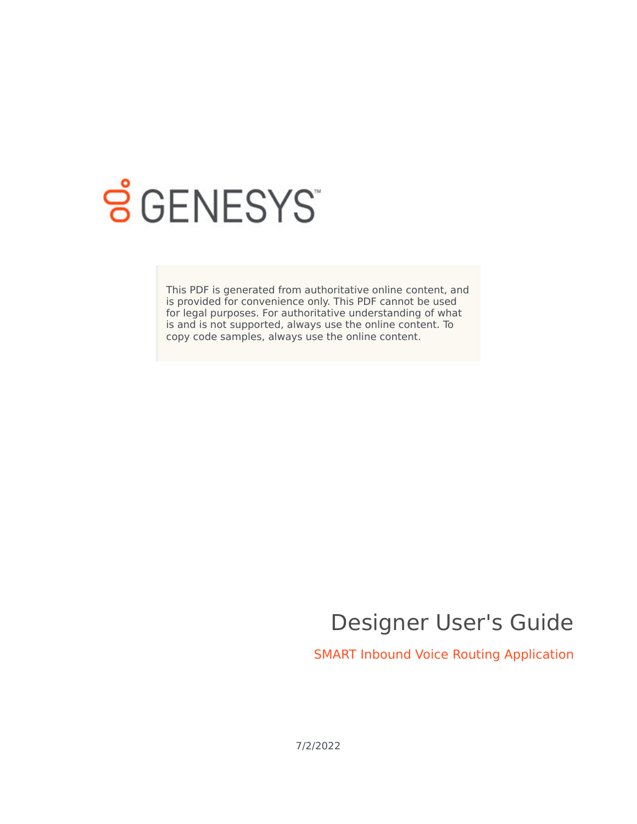

# **SGENESYS**

This PDF is generated from authoritative online content, and is provided for convenience only. This PDF cannot be used for legal purposes. For authoritative understanding of what is and is not supported, always use the online content. To copy code samples, always use the online content.

## Designer User's Guide

SMART Inbound Voice Routing Application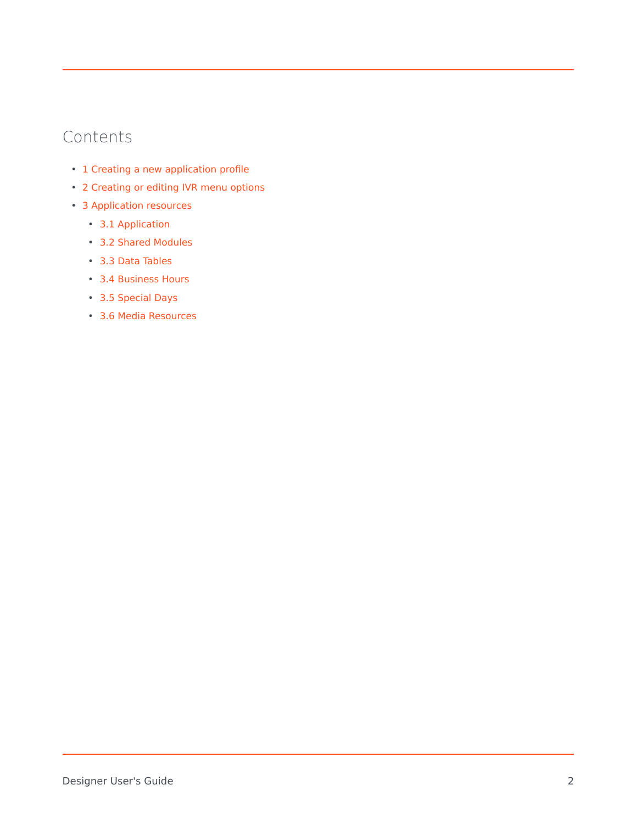## Contents

- 1 [Creating a new application profile](#page-2-0)
- 2 [Creating or editing IVR menu options](#page-3-0)
- 3 [Application resources](#page-4-0)
	- 3.1 [Application](#page-4-1)
	- 3.2 [Shared Modules](#page-5-0)
	- 3.3 [Data Tables](#page-5-1)
	- 3.4 [Business Hours](#page-7-0)
	- 3.5 [Special Days](#page-7-1)
	- 3.6 [Media Resources](#page-8-0)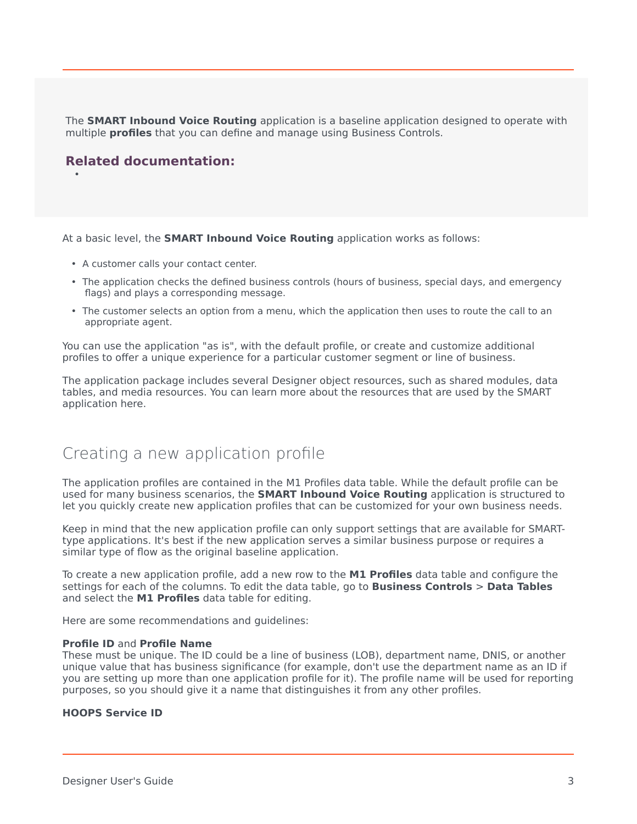The **SMART Inbound Voice Routing** application is a baseline application designed to operate with multiple **profiles** that you can define and manage using Business Controls.

## **Related documentation:**

•

At a basic level, the **SMART Inbound Voice Routing** application works as follows:

- A customer calls your contact center.
- The application checks the defined business controls (hours of business, special days, and emergency flags) and plays a corresponding message.
- The customer selects an option from a menu, which the application then uses to route the call to an appropriate agent.

You can use the application "as is", with the default profile, or create and customize additional profiles to offer a unique experience for a particular customer segment or line of business.

The application package includes several Designer object resources, such as shared modules, data tables, and media resources. You can learn more about the resources that are used by the SMART application here.

## <span id="page-2-0"></span>Creating a new application profile

The application profiles are contained in the M1 Profiles data table. While the default profile can be used for many business scenarios, the **SMART Inbound Voice Routing** application is structured to let you quickly create new application profiles that can be customized for your own business needs.

Keep in mind that the new application profile can only support settings that are available for SMARTtype applications. It's best if the new application serves a similar business purpose or requires a similar type of flow as the original baseline application.

To create a new application profile, add a new row to the **M1 Profiles** data table and configure the settings for each of the columns. To edit the data table, go to **Business Controls** > **Data Tables** and select the **M1 Profiles** data table for editing.

Here are some recommendations and guidelines:

#### **Profile ID** and **Profile Name**

These must be unique. The ID could be a line of business (LOB), department name, DNIS, or another unique value that has business significance (for example, don't use the department name as an ID if you are setting up more than one application profile for it). The profile name will be used for reporting purposes, so you should give it a name that distinguishes it from any other profiles.

#### **HOOPS Service ID**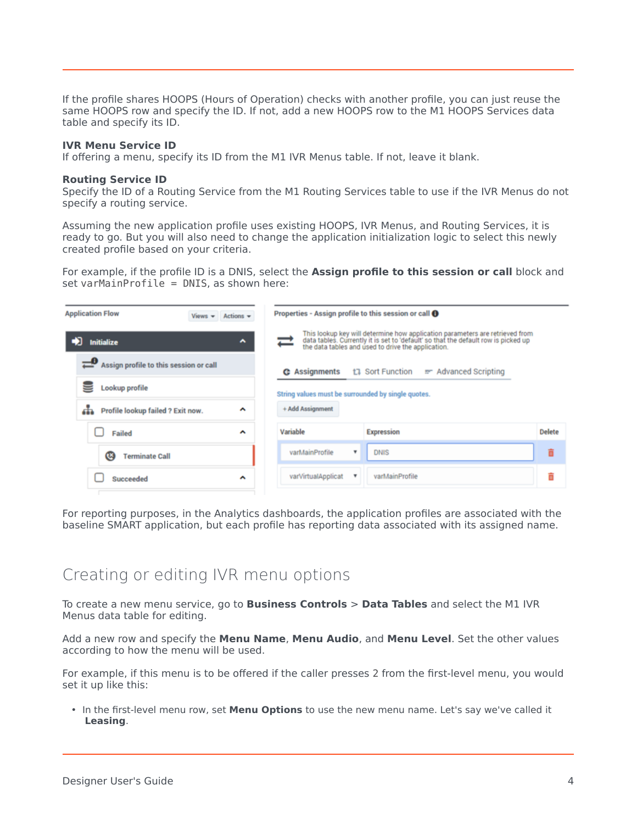If the profile shares HOOPS (Hours of Operation) checks with another profile, you can just reuse the same HOOPS row and specify the ID. If not, add a new HOOPS row to the M1 HOOPS Services data table and specify its ID.

#### **IVR Menu Service ID**

If offering a menu, specify its ID from the M1 IVR Menus table. If not, leave it blank.

#### **Routing Service ID**

Specify the ID of a Routing Service from the M1 Routing Services table to use if the IVR Menus do not specify a routing service.

Assuming the new application profile uses existing HOOPS, IVR Menus, and Routing Services, it is ready to go. But you will also need to change the application initialization logic to select this newly created profile based on your criteria.

For example, if the profile ID is a DNIS, select the **Assign profile to this session or call** block and set varMainProfile = DNIS, as shown here:

| <b>Application Flow</b><br>Views $\star$ Actions $\star$ | Properties - Assign profile to this session or call <sup>0</sup>                                                                                                                                                         |               |
|----------------------------------------------------------|--------------------------------------------------------------------------------------------------------------------------------------------------------------------------------------------------------------------------|---------------|
| <b>Initialize</b><br>$\hat{\phantom{a}}$                 | This lookup key will determine how application parameters are retrieved from<br>data tables. Currently it is set to 'default' so that the default row is picked up<br>the data tables and used to drive the application. |               |
| Assign profile to this session or call                   | t <sub>1</sub> Sort Function<br>m Advanced Scripting<br><b>G</b> Assignments                                                                                                                                             |               |
| Lookup profile                                           | String values must be surrounded by single quotes.                                                                                                                                                                       |               |
| ᄾ<br>Profile lookup failed ? Exit now.                   | + Add Assignment                                                                                                                                                                                                         |               |
| Failed<br>$\hat{\phantom{a}}$                            | Variable<br><b>Expression</b>                                                                                                                                                                                            | <b>Delete</b> |
| Ø<br><b>Terminate Call</b>                               | varMainProfile<br><b>DNIS</b><br>۰                                                                                                                                                                                       | ô             |
| $\hat{\phantom{a}}$<br>Succeeded                         | varVirtualApplicat<br>varMainProfile<br>v                                                                                                                                                                                |               |

For reporting purposes, in the Analytics dashboards, the application profiles are associated with the baseline SMART application, but each profile has reporting data associated with its assigned name.

## <span id="page-3-0"></span>Creating or editing IVR menu options

To create a new menu service, go to **Business Controls** > **Data Tables** and select the M1 IVR Menus data table for editing.

Add a new row and specify the **Menu Name**, **Menu Audio**, and **Menu Level**. Set the other values according to how the menu will be used.

For example, if this menu is to be offered if the caller presses 2 from the first-level menu, you would set it up like this:

• In the first-level menu row, set **Menu Options** to use the new menu name. Let's say we've called it **Leasing**.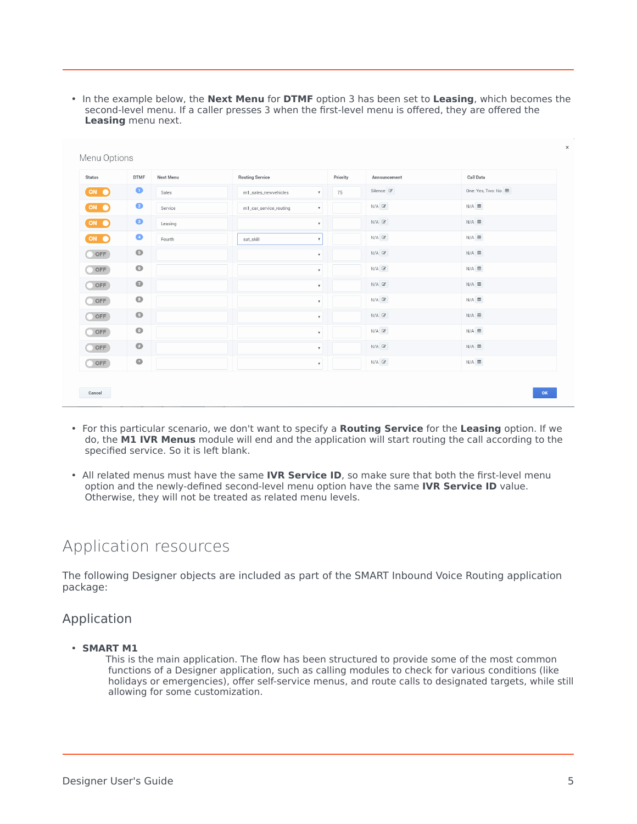• In the example below, the **Next Menu** for **DTMF** option 3 has been set to **Leasing**, which becomes the second-level menu. If a caller presses 3 when the first-level menu is offered, they are offered the **Leasing** menu next.

| <b>Status</b> | <b>DTMF</b> | <b>Next Menu</b> | <b>Routing Service</b>                       | Priority | Announcement         | <b>Call Data</b>  |
|---------------|-------------|------------------|----------------------------------------------|----------|----------------------|-------------------|
| ON O          | $\bullet$   | Sales            | m1_sales_newvehicles<br>$\pmb{\mathrm{v}}$   | 75       | Silence <sup>2</sup> | One: Yes, Two: No |
| ON O          | $\bullet$   | Service          | m1_car_service_routing<br>$\pmb{\mathrm{v}}$ |          | $N/A$ $\mathbb{Z}$   | $N/A$ $\boxplus$  |
| ON O          | $\bullet$   | Leasing          | $\boldsymbol{\mathrm{v}}$                    |          | $N/A$ $\mathbb{Z}$   | $N/A \equiv$      |
| ON O          | $\bullet$   | Fourth           | $\pmb{\mathrm{v}}$<br>sat_skill              |          | $N/A$ $\mathbb{Z}$   | $N/A$ $\boxplus$  |
| OFF           | $\bullet$   |                  | $\pmb{\mathrm{v}}$                           |          | $N/A$ $\mathbb{Z}$   | $N/A \equiv$      |
| OFF           | $\bullet$   |                  | $\boldsymbol{\mathrm{v}}$                    |          | $N/A$ $\mathbb{Z}$   | $N/A$ $\boxplus$  |
| OFF           | $\bullet$   |                  | $\pmb{\mathrm{v}}$                           |          | $N/A$ $\mathbb{Z}$   | $N/A \equiv$      |
| OFF           | $\bullet$   |                  | $\pmb{\mathrm{v}}$                           |          | $N/A$ $\mathbb{Z}$   | $N/A \equiv$      |
| OFF           | $\bullet$   |                  | $\boldsymbol{\mathrm{v}}$                    |          | $N/A$ $\mathbb{Z}$   | $N/A \equiv$      |
| OFF           | $\bullet$   |                  | $\boldsymbol{\mathrm{v}}$                    |          | $N/A$ $\mathbb{Z}$   | $N/A \equiv$      |
| OFF           | $\bullet$   |                  | $\boldsymbol{\mathrm{v}}$                    |          | $N/A$ $\mathcal{C}$  | $N/A \equiv$      |
| OFF           | $\bullet$   |                  | $\boldsymbol{\mathrm{v}}$                    |          | $N/A$ $\mathcal{C}$  | $N/A \equiv$      |

- For this particular scenario, we don't want to specify a **Routing Service** for the **Leasing** option. If we do, the **M1 IVR Menus** module will end and the application will start routing the call according to the specified service. So it is left blank.
- All related menus must have the same **IVR Service ID**, so make sure that both the first-level menu option and the newly-defined second-level menu option have the same **IVR Service ID** value. Otherwise, they will not be treated as related menu levels.

## <span id="page-4-0"></span>Application resources

The following Designer objects are included as part of the SMART Inbound Voice Routing application package:

### <span id="page-4-1"></span>Application

• **SMART M1**

This is the main application. The flow has been structured to provide some of the most common functions of a Designer application, such as calling modules to check for various conditions (like holidays or emergencies), offer self-service menus, and route calls to designated targets, while still allowing for some customization.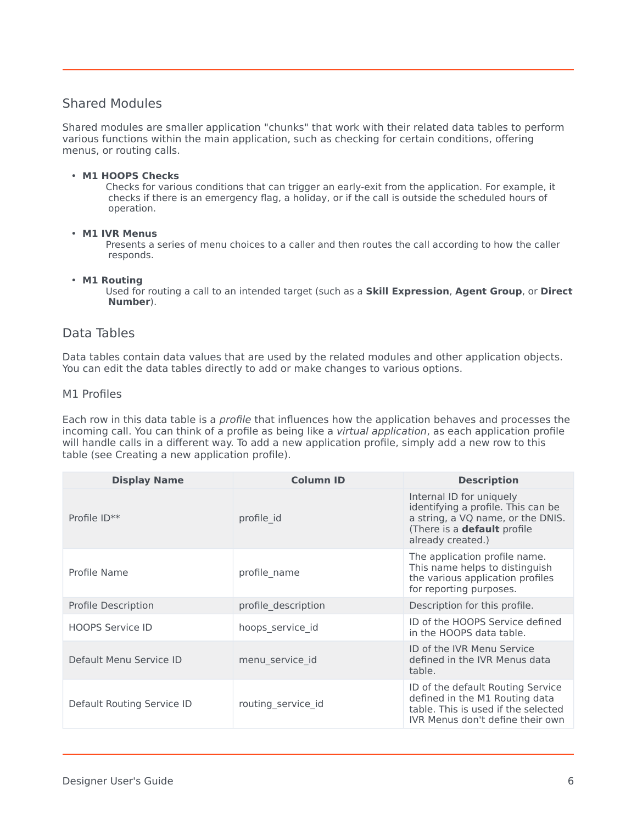## <span id="page-5-0"></span>Shared Modules

Shared modules are smaller application "chunks" that work with their related data tables to perform various functions within the main application, such as checking for certain conditions, offering menus, or routing calls.

#### • **M1 HOOPS Checks**

Checks for various conditions that can trigger an early-exit from the application. For example, it checks if there is an emergency flag, a holiday, or if the call is outside the scheduled hours of operation.

#### • **M1 IVR Menus**

Presents a series of menu choices to a caller and then routes the call according to how the caller responds.

#### • **M1 Routing**

Used for routing a call to an intended target (such as a **Skill Expression**, **Agent Group**, or **Direct Number**).

#### <span id="page-5-1"></span>Data Tables

Data tables contain data values that are used by the related modules and other application objects. You can edit the data tables directly to add or make changes to various options.

#### M1 Profiles

Each row in this data table is a profile that influences how the application behaves and processes the incoming call. You can think of a profile as being like a *virtual application*, as each application profile will handle calls in a different way. To add a new application profile, simply add a new row to this table (see Creating a new application profile).

| <b>Display Name</b>        | <b>Column ID</b>    | <b>Description</b>                                                                                                                                             |
|----------------------------|---------------------|----------------------------------------------------------------------------------------------------------------------------------------------------------------|
| Profile ID**               | profile id          | Internal ID for uniquely<br>identifying a profile. This can be<br>a string, a VQ name, or the DNIS.<br>(There is a <b>default</b> profile<br>already created.) |
| Profile Name               | profile_name        | The application profile name.<br>This name helps to distinguish<br>the various application profiles<br>for reporting purposes.                                 |
| Profile Description        | profile description | Description for this profile.                                                                                                                                  |
| <b>HOOPS Service ID</b>    | hoops_service_id    | ID of the HOOPS Service defined<br>in the HOOPS data table.                                                                                                    |
| Default Menu Service ID    | menu_service_id     | ID of the IVR Menu Service<br>defined in the IVR Menus data<br>table.                                                                                          |
| Default Routing Service ID | routing service id  | ID of the default Routing Service<br>defined in the M1 Routing data<br>table. This is used if the selected<br>IVR Menus don't define their own                 |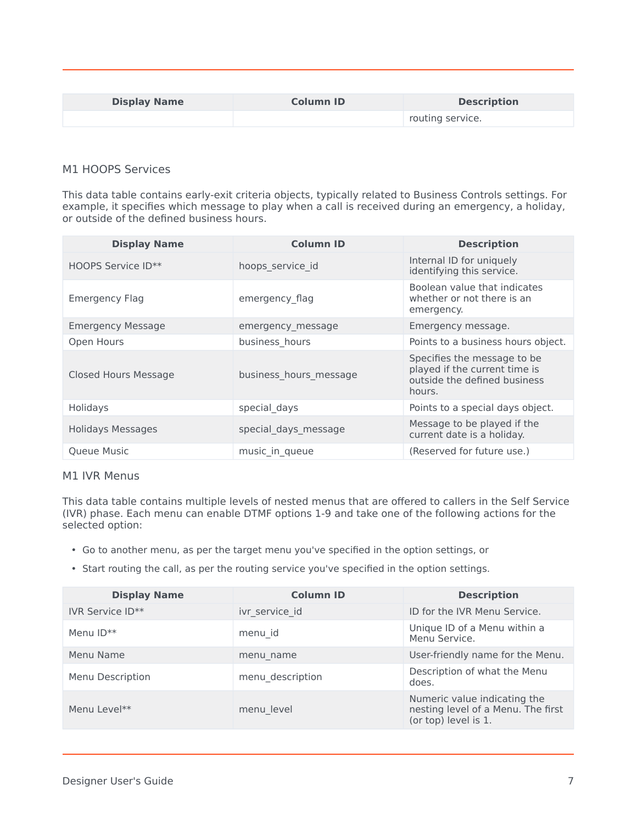| <b>Display Name</b> | <b>Column ID</b> | <b>Description</b> |
|---------------------|------------------|--------------------|
|                     |                  | routing service.   |

#### M1 HOOPS Services

This data table contains early-exit criteria objects, typically related to Business Controls settings. For example, it specifies which message to play when a call is received during an emergency, a holiday, or outside of the defined business hours.

| <b>Display Name</b>      | <b>Column ID</b>       | <b>Description</b>                                                                                     |
|--------------------------|------------------------|--------------------------------------------------------------------------------------------------------|
| HOOPS Service ID**       | hoops_service_id       | Internal ID for uniquely<br>identifying this service.                                                  |
| Emergency Flag           | emergency flag         | Boolean value that indicates<br>whether or not there is an<br>emergency.                               |
| <b>Emergency Message</b> | emergency message      | Emergency message.                                                                                     |
| Open Hours               | business_hours         | Points to a business hours object.                                                                     |
| Closed Hours Message     | business hours message | Specifies the message to be<br>played if the current time is<br>outside the defined business<br>hours. |
| Holidays                 | special days           | Points to a special days object.                                                                       |
| <b>Holidays Messages</b> | special_days_message   | Message to be played if the<br>current date is a holiday.                                              |
| <b>Oueue Music</b>       | music in queue         | (Reserved for future use.)                                                                             |

#### M1 IVR Menus

This data table contains multiple levels of nested menus that are offered to callers in the Self Service (IVR) phase. Each menu can enable DTMF options 1-9 and take one of the following actions for the selected option:

- Go to another menu, as per the target menu you've specified in the option settings, or
- Start routing the call, as per the routing service you've specified in the option settings.

| <b>Display Name</b> | <b>Column ID</b> | <b>Description</b>                                                                         |
|---------------------|------------------|--------------------------------------------------------------------------------------------|
| IVR Service ID**    | ivr service id   | ID for the IVR Menu Service.                                                               |
| Menu $ID**$         | menu id          | Unique ID of a Menu within a<br>Menu Service.                                              |
| Menu Name           | menu name        | User-friendly name for the Menu.                                                           |
| Menu Description    | menu description | Description of what the Menu<br>does.                                                      |
| Menu Level**        | menu level       | Numeric value indicating the<br>nesting level of a Menu. The first<br>(or top) level is 1. |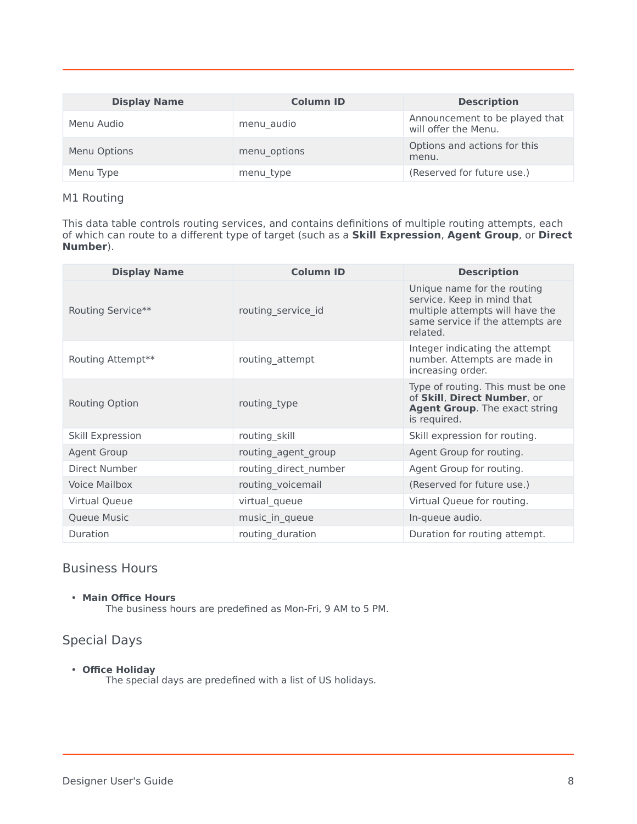| <b>Display Name</b> | <b>Column ID</b> | <b>Description</b>                                     |
|---------------------|------------------|--------------------------------------------------------|
| Menu Audio          | menu audio       | Announcement to be played that<br>will offer the Menu. |
| Menu Options        | menu options     | Options and actions for this<br>menu.                  |
| Menu Type           | menu_type        | (Reserved for future use.)                             |

#### M1 Routing

This data table controls routing services, and contains definitions of multiple routing attempts, each of which can route to a different type of target (such as a **Skill Expression**, **Agent Group**, or **Direct Number**).

| <b>Display Name</b>  | <b>Column ID</b>      | <b>Description</b>                                                                                                                           |
|----------------------|-----------------------|----------------------------------------------------------------------------------------------------------------------------------------------|
| Routing Service**    | routing_service_id    | Unique name for the routing<br>service. Keep in mind that<br>multiple attempts will have the<br>same service if the attempts are<br>related. |
| Routing Attempt**    | routing_attempt       | Integer indicating the attempt<br>number. Attempts are made in<br>increasing order.                                                          |
| Routing Option       | routing_type          | Type of routing. This must be one<br>of Skill, Direct Number, or<br><b>Agent Group.</b> The exact string<br>is required.                     |
| Skill Expression     | routing_skill         | Skill expression for routing.                                                                                                                |
| <b>Agent Group</b>   | routing agent group   | Agent Group for routing.                                                                                                                     |
| Direct Number        | routing direct number | Agent Group for routing.                                                                                                                     |
| <b>Voice Mailbox</b> | routing_voicemail     | (Reserved for future use.)                                                                                                                   |
| Virtual Queue        | virtual_queue         | Virtual Queue for routing.                                                                                                                   |
| Queue Music          | music_in_queue        | In-queue audio.                                                                                                                              |
| Duration             | routing_duration      | Duration for routing attempt.                                                                                                                |

## <span id="page-7-0"></span>Business Hours

#### • **Main Office Hours**

The business hours are predefined as Mon-Fri, 9 AM to 5 PM.

## <span id="page-7-1"></span>Special Days

• **Office Holiday**

The special days are predefined with a list of US holidays.